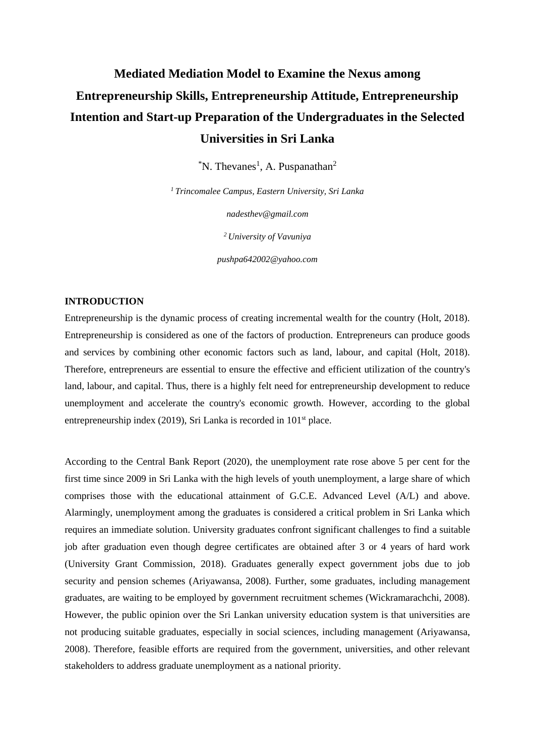# **Mediated Mediation Model to Examine the Nexus among Entrepreneurship Skills, Entrepreneurship Attitude, Entrepreneurship Intention and Start-up Preparation of the Undergraduates in the Selected Universities in Sri Lanka**

 ${}^{\ast}$ N. Thevanes<sup>1</sup>, A. Puspanathan<sup>2</sup>

*<sup>1</sup>Trincomalee Campus, Eastern University, Sri Lanka*

*nadesthev@gmail.com*

*<sup>2</sup>University of Vavuniya*

*pushpa642002@yahoo.com*

# **INTRODUCTION**

Entrepreneurship is the dynamic process of creating incremental wealth for the country (Holt, 2018). Entrepreneurship is considered as one of the factors of production. Entrepreneurs can produce goods and services by combining other economic factors such as land, labour, and capital (Holt, 2018). Therefore, entrepreneurs are essential to ensure the effective and efficient utilization of the country's land, labour, and capital. Thus, there is a highly felt need for entrepreneurship development to reduce unemployment and accelerate the country's economic growth. However, according to the global entrepreneurship index (2019), Sri Lanka is recorded in  $101<sup>st</sup>$  place.

According to the Central Bank Report (2020), the unemployment rate rose above 5 per cent for the first time since 2009 in Sri Lanka with the high levels of youth unemployment, a large share of which comprises those with the educational attainment of G.C.E. Advanced Level (A/L) and above. Alarmingly, unemployment among the graduates is considered a critical problem in Sri Lanka which requires an immediate solution. University graduates confront significant challenges to find a suitable job after graduation even though degree certificates are obtained after 3 or 4 years of hard work (University Grant Commission, 2018). Graduates generally expect government jobs due to job security and pension schemes (Ariyawansa, 2008). Further, some graduates, including management graduates, are waiting to be employed by government recruitment schemes (Wickramarachchi, 2008). However, the public opinion over the Sri Lankan university education system is that universities are not producing suitable graduates, especially in social sciences, including management (Ariyawansa, 2008). Therefore, feasible efforts are required from the government, universities, and other relevant stakeholders to address graduate unemployment as a national priority.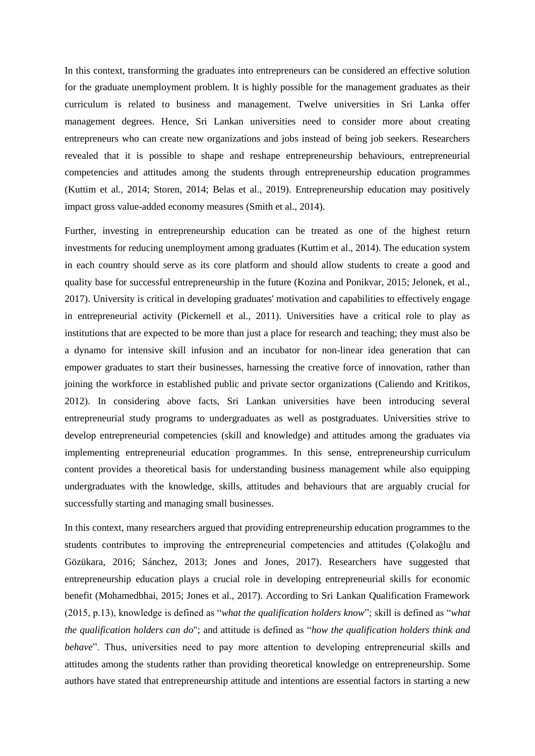In this context, transforming the graduates into entrepreneurs can be considered an effective solution for the graduate unemployment problem. It is highly possible for the management graduates as their curriculum is related to business and management. Twelve universities in Sri Lanka offer management degrees. Hence, Sri Lankan universities need to consider more about creating entrepreneurs who can create new organizations and jobs instead of being job seekers. Researchers revealed that it is possible to shape and reshape entrepreneurship behaviours, entrepreneurial competencies and attitudes among the students through entrepreneurship education programmes (Kuttim et al., 2014; Storen, 2014; Belas et al., 2019). Entrepreneurship education may positively impact gross value-added economy measures (Smith et al., 2014).

Further, investing in entrepreneurship education can be treated as one of the highest return investments for reducing unemployment among graduates (Kuttim et al., 2014). The education system in each country should serve as its core platform and should allow students to create a good and quality base for successful entrepreneurship in the future (Kozina and Ponikvar, 2015; Jelonek, et al., 2017). University is critical in developing graduates' motivation and capabilities to effectively engage in entrepreneurial activity (Pickernell et al., 2011). Universities have a critical role to play as institutions that are expected to be more than just a place for research and teaching; they must also be a dynamo for intensive skill infusion and an incubator for non-linear idea generation that can empower graduates to start their businesses, harnessing the creative force of innovation, rather than joining the workforce in established public and private sector organizations (Caliendo and Kritikos, 2012). In considering above facts, Sri Lankan universities have been introducing several entrepreneurial study programs to undergraduates as well as postgraduates. Universities strive to develop entrepreneurial competencies (skill and knowledge) and attitudes among the graduates via implementing entrepreneurial education programmes. In this sense, entrepreneurship curriculum content provides a theoretical basis for understanding business management while also equipping undergraduates with the knowledge, skills, attitudes and behaviours that are arguably crucial for successfully starting and managing small businesses.

In this context, many researchers argued that providing entrepreneurship education programmes to the students contributes to improving the entrepreneurial competencies and attitudes (Çolakoğlu and Gözükara, 2016; Sánchez, 2013; Jones and Jones, 2017). Researchers have suggested that entrepreneurship education plays a crucial role in developing entrepreneurial skills for economic benefit (Mohamedbhai, 2015; Jones et al., 2017). According to Sri Lankan Qualification Framework (2015, p.13), knowledge is defined as "*what the qualification holders know*"; skill is defined as "*what the qualification holders can do*"; and attitude is defined as "*how the qualification holders think and behave*". Thus, universities need to pay more attention to developing entrepreneurial skills and attitudes among the students rather than providing theoretical knowledge on entrepreneurship. Some authors have stated that entrepreneurship attitude and intentions are essential factors in starting a new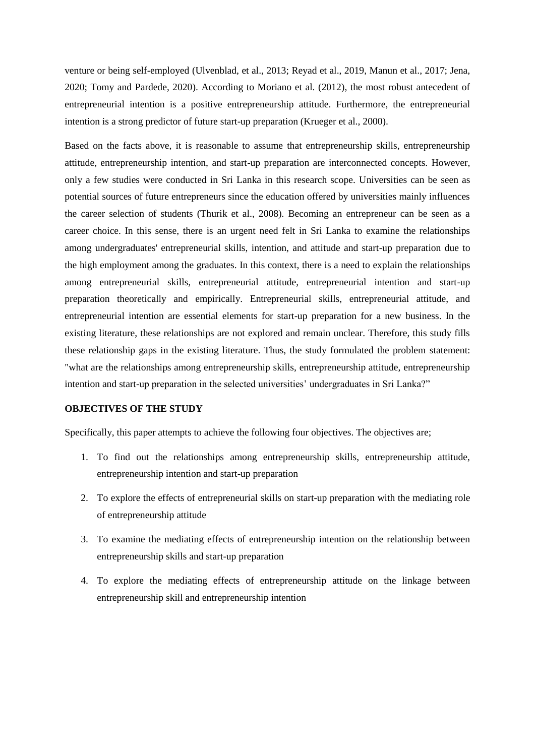venture or being self-employed (Ulvenblad, et al., 2013; Reyad et al., 2019, Manun et al., 2017; Jena, 2020; Tomy and Pardede, 2020). According to Moriano et al. (2012), the most robust antecedent of entrepreneurial intention is a positive entrepreneurship attitude. Furthermore, the entrepreneurial intention is a strong predictor of future start-up preparation (Krueger et al., 2000).

Based on the facts above, it is reasonable to assume that entrepreneurship skills, entrepreneurship attitude, entrepreneurship intention, and start-up preparation are interconnected concepts. However, only a few studies were conducted in Sri Lanka in this research scope. Universities can be seen as potential sources of future entrepreneurs since the education offered by universities mainly influences the career selection of students (Thurik et al., 2008). Becoming an entrepreneur can be seen as a career choice. In this sense, there is an urgent need felt in Sri Lanka to examine the relationships among undergraduates' entrepreneurial skills, intention, and attitude and start-up preparation due to the high employment among the graduates. In this context, there is a need to explain the relationships among entrepreneurial skills, entrepreneurial attitude, entrepreneurial intention and start-up preparation theoretically and empirically. Entrepreneurial skills, entrepreneurial attitude, and entrepreneurial intention are essential elements for start-up preparation for a new business. In the existing literature, these relationships are not explored and remain unclear. Therefore, this study fills these relationship gaps in the existing literature. Thus, the study formulated the problem statement: "what are the relationships among entrepreneurship skills, entrepreneurship attitude, entrepreneurship intention and start-up preparation in the selected universities' undergraduates in Sri Lanka?"

# **OBJECTIVES OF THE STUDY**

Specifically, this paper attempts to achieve the following four objectives. The objectives are;

- 1. To find out the relationships among entrepreneurship skills, entrepreneurship attitude, entrepreneurship intention and start-up preparation
- 2. To explore the effects of entrepreneurial skills on start-up preparation with the mediating role of entrepreneurship attitude
- 3. To examine the mediating effects of entrepreneurship intention on the relationship between entrepreneurship skills and start-up preparation
- 4. To explore the mediating effects of entrepreneurship attitude on the linkage between entrepreneurship skill and entrepreneurship intention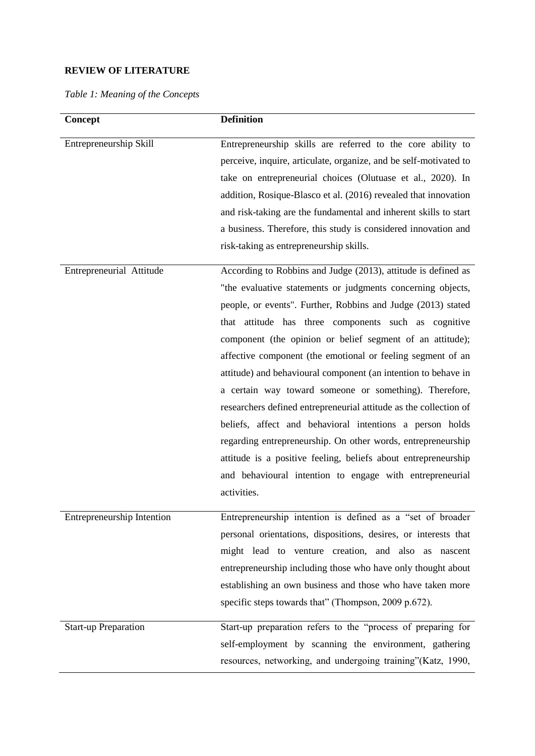# **REVIEW OF LITERATURE**

*Table 1: Meaning of the Concepts* 

| <b>Concept</b>              | <b>Definition</b>                                                 |
|-----------------------------|-------------------------------------------------------------------|
| Entrepreneurship Skill      | Entrepreneurship skills are referred to the core ability to       |
|                             | perceive, inquire, articulate, organize, and be self-motivated to |
|                             | take on entrepreneurial choices (Olutuase et al., 2020). In       |
|                             | addition, Rosique-Blasco et al. (2016) revealed that innovation   |
|                             | and risk-taking are the fundamental and inherent skills to start  |
|                             | a business. Therefore, this study is considered innovation and    |
|                             | risk-taking as entrepreneurship skills.                           |
| Entrepreneurial Attitude    | According to Robbins and Judge (2013), attitude is defined as     |
|                             | "the evaluative statements or judgments concerning objects,       |
|                             | people, or events". Further, Robbins and Judge (2013) stated      |
|                             | that attitude has three components such as cognitive              |
|                             | component (the opinion or belief segment of an attitude);         |
|                             | affective component (the emotional or feeling segment of an       |
|                             | attitude) and behavioural component (an intention to behave in    |
|                             | a certain way toward someone or something). Therefore,            |
|                             | researchers defined entrepreneurial attitude as the collection of |
|                             | beliefs, affect and behavioral intentions a person holds          |
|                             | regarding entrepreneurship. On other words, entrepreneurship      |
|                             | attitude is a positive feeling, beliefs about entrepreneurship    |
|                             | and behavioural intention to engage with entrepreneurial          |
|                             | activities.                                                       |
| Entrepreneurship Intention  | Entrepreneurship intention is defined as a "set of broader        |
|                             | personal orientations, dispositions, desires, or interests that   |
|                             | might lead to venture creation, and also as nascent               |
|                             | entrepreneurship including those who have only thought about      |
|                             | establishing an own business and those who have taken more        |
|                             | specific steps towards that" (Thompson, 2009 p.672).              |
| <b>Start-up Preparation</b> | Start-up preparation refers to the "process of preparing for      |
|                             | self-employment by scanning the environment, gathering            |
|                             | resources, networking, and undergoing training"(Katz, 1990,       |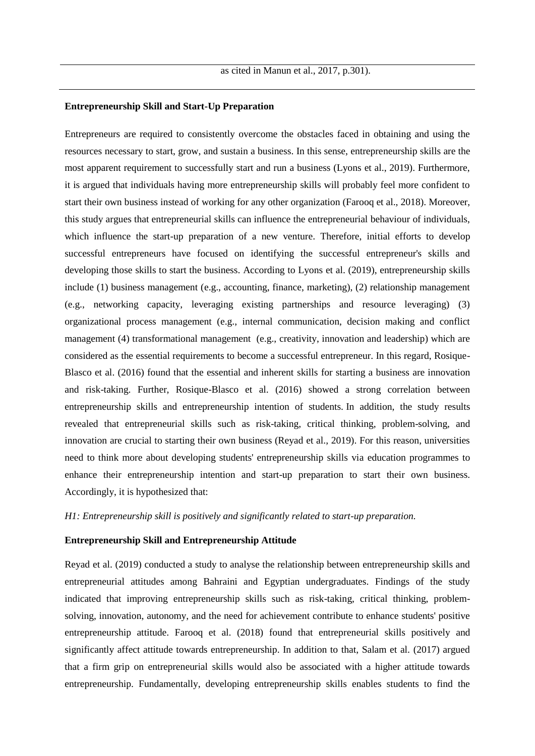# **Entrepreneurship Skill and Start-Up Preparation**

Entrepreneurs are required to consistently overcome the obstacles faced in obtaining and using the resources necessary to start, grow, and sustain a business. In this sense, entrepreneurship skills are the most apparent requirement to successfully start and run a business (Lyons et al., 2019). Furthermore, it is argued that individuals having more entrepreneurship skills will probably feel more confident to start their own business instead of working for any other organization (Farooq et al., 2018). Moreover, this study argues that entrepreneurial skills can influence the entrepreneurial behaviour of individuals, which influence the start-up preparation of a new venture. Therefore, initial efforts to develop successful entrepreneurs have focused on identifying the successful entrepreneur's skills and developing those skills to start the business. According to Lyons et al. (2019), entrepreneurship skills include (1) business management (e.g., accounting, finance, marketing), (2) relationship management (e.g., networking capacity, leveraging existing partnerships and resource leveraging) (3) organizational process management (e.g., internal communication, decision making and conflict management (4) transformational management (e.g., creativity, innovation and leadership) which are considered as the essential requirements to become a successful entrepreneur. In this regard, Rosique-Blasco et al. (2016) found that the essential and inherent skills for starting a business are innovation and risk-taking. Further, Rosique-Blasco et al. (2016) showed a strong correlation between entrepreneurship skills and entrepreneurship intention of students. In addition, the study results revealed that entrepreneurial skills such as risk-taking, critical thinking, problem-solving, and innovation are crucial to starting their own business (Reyad et al., 2019). For this reason, universities need to think more about developing students' entrepreneurship skills via education programmes to enhance their entrepreneurship intention and start-up preparation to start their own business. Accordingly, it is hypothesized that:

### *H1: Entrepreneurship skill is positively and significantly related to start-up preparation.*

### **Entrepreneurship Skill and Entrepreneurship Attitude**

Reyad et al. (2019) conducted a study to analyse the relationship between entrepreneurship skills and entrepreneurial attitudes among Bahraini and Egyptian undergraduates. Findings of the study indicated that improving entrepreneurship skills such as risk-taking, critical thinking, problemsolving, innovation, autonomy, and the need for achievement contribute to enhance students' positive entrepreneurship attitude. Farooq et al. (2018) found that entrepreneurial skills positively and significantly affect attitude towards entrepreneurship. In addition to that, Salam et al. (2017) argued that a firm grip on entrepreneurial skills would also be associated with a higher attitude towards entrepreneurship. Fundamentally, developing entrepreneurship skills enables students to find the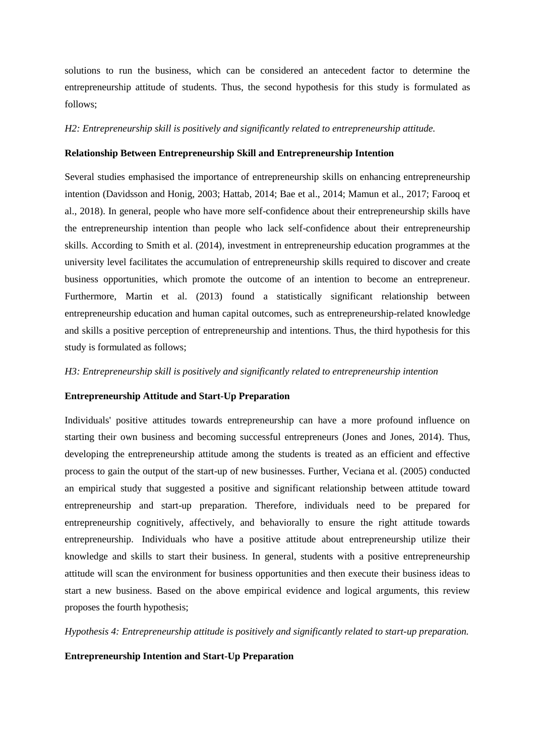solutions to run the business, which can be considered an antecedent factor to determine the entrepreneurship attitude of students. Thus, the second hypothesis for this study is formulated as follows;

### *H2: Entrepreneurship skill is positively and significantly related to entrepreneurship attitude.*

### **Relationship Between Entrepreneurship Skill and Entrepreneurship Intention**

Several studies emphasised the importance of entrepreneurship skills on enhancing entrepreneurship intention (Davidsson and Honig, 2003; Hattab, 2014; Bae et al., 2014; Mamun et al., 2017; Farooq et al., 2018). In general, people who have more self-confidence about their entrepreneurship skills have the entrepreneurship intention than people who lack self-confidence about their entrepreneurship skills. According to Smith et al. (2014), investment in entrepreneurship education programmes at the university level facilitates the accumulation of entrepreneurship skills required to discover and create business opportunities, which promote the outcome of an intention to become an entrepreneur. Furthermore, Martin et al. (2013) found a statistically significant relationship between entrepreneurship education and human capital outcomes, such as entrepreneurship-related knowledge and skills a positive perception of entrepreneurship and intentions. Thus, the third hypothesis for this study is formulated as follows;

#### *H3: Entrepreneurship skill is positively and significantly related to entrepreneurship intention*

### **Entrepreneurship Attitude and Start-Up Preparation**

Individuals' positive attitudes towards entrepreneurship can have a more profound influence on starting their own business and becoming successful entrepreneurs (Jones and Jones, 2014). Thus, developing the entrepreneurship attitude among the students is treated as an efficient and effective process to gain the output of the start-up of new businesses. Further, Veciana et al. (2005) conducted an empirical study that suggested a positive and significant relationship between attitude toward entrepreneurship and start-up preparation. Therefore, individuals need to be prepared for entrepreneurship cognitively, affectively, and behaviorally to ensure the right attitude towards entrepreneurship. Individuals who have a positive attitude about entrepreneurship utilize their knowledge and skills to start their business. In general, students with a positive entrepreneurship attitude will scan the environment for business opportunities and then execute their business ideas to start a new business. Based on the above empirical evidence and logical arguments, this review proposes the fourth hypothesis;

*Hypothesis 4: Entrepreneurship attitude is positively and significantly related to start-up preparation.*

### **Entrepreneurship Intention and Start-Up Preparation**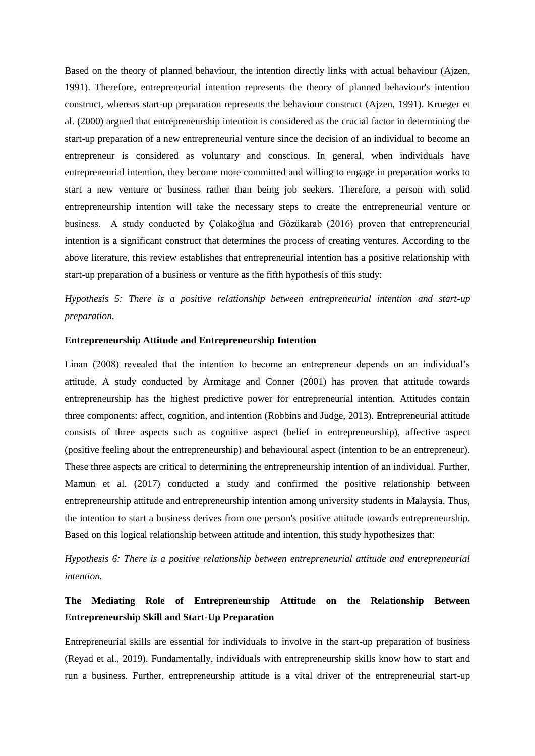Based on the theory of planned behaviour, the intention directly links with actual behaviour (Ajzen, 1991). Therefore, entrepreneurial intention represents the theory of planned behaviour's intention construct, whereas start-up preparation represents the behaviour construct (Ajzen, 1991). Krueger et al. (2000) argued that entrepreneurship intention is considered as the crucial factor in determining the start-up preparation of a new entrepreneurial venture since the decision of an individual to become an entrepreneur is considered as voluntary and conscious. In general, when individuals have entrepreneurial intention, they become more committed and willing to engage in preparation works to start a new venture or business rather than being job seekers. Therefore, a person with solid entrepreneurship intention will take the necessary steps to create the entrepreneurial venture or business. A study conducted by Çolakoğlua and Gözükarab (2016) proven that entrepreneurial intention is a significant construct that determines the process of creating ventures. According to the above literature, this review establishes that entrepreneurial intention has a positive relationship with start-up preparation of a business or venture as the fifth hypothesis of this study:

*Hypothesis 5: There is a positive relationship between entrepreneurial intention and start-up preparation.*

### **Entrepreneurship Attitude and Entrepreneurship Intention**

Linan (2008) revealed that the intention to become an entrepreneur depends on an individual's attitude. A study conducted by Armitage and Conner (2001) has proven that attitude towards entrepreneurship has the highest predictive power for entrepreneurial intention. Attitudes contain three components: affect, cognition, and intention (Robbins and Judge, 2013). Entrepreneurial attitude consists of three aspects such as cognitive aspect (belief in entrepreneurship), affective aspect (positive feeling about the entrepreneurship) and behavioural aspect (intention to be an entrepreneur). These three aspects are critical to determining the entrepreneurship intention of an individual. Further, Mamun et al. (2017) conducted a study and confirmed the positive relationship between entrepreneurship attitude and entrepreneurship intention among university students in Malaysia. Thus, the intention to start a business derives from one person's positive attitude towards entrepreneurship. Based on this logical relationship between attitude and intention, this study hypothesizes that:

# *Hypothesis 6: There is a positive relationship between entrepreneurial attitude and entrepreneurial intention.*

# **The Mediating Role of Entrepreneurship Attitude on the Relationship Between Entrepreneurship Skill and Start-Up Preparation**

Entrepreneurial skills are essential for individuals to involve in the start-up preparation of business (Reyad et al., 2019). Fundamentally, individuals with entrepreneurship skills know how to start and run a business. Further, entrepreneurship attitude is a vital driver of the entrepreneurial start-up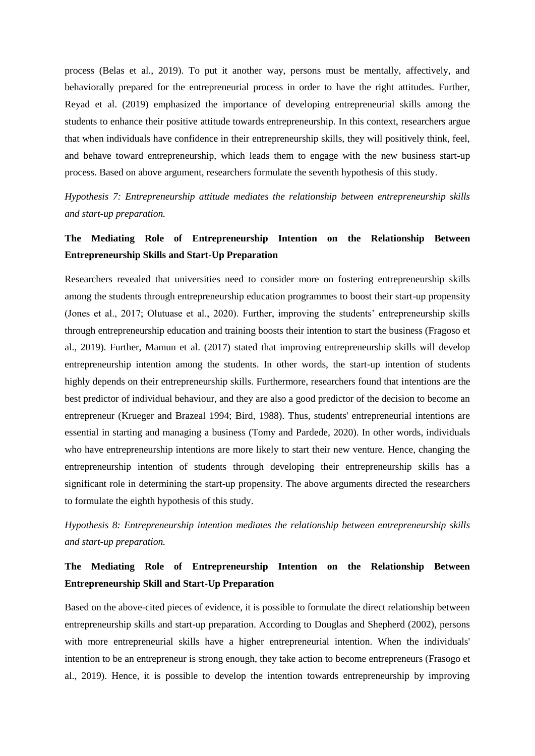process (Belas et al., 2019). To put it another way, persons must be mentally, affectively, and behaviorally prepared for the entrepreneurial process in order to have the right attitudes. Further, Reyad et al. (2019) emphasized the importance of developing entrepreneurial skills among the students to enhance their positive attitude towards entrepreneurship. In this context, researchers argue that when individuals have confidence in their entrepreneurship skills, they will positively think, feel, and behave toward entrepreneurship, which leads them to engage with the new business start-up process. Based on above argument, researchers formulate the seventh hypothesis of this study.

*Hypothesis 7: Entrepreneurship attitude mediates the relationship between entrepreneurship skills and start-up preparation.*

# **The Mediating Role of Entrepreneurship Intention on the Relationship Between Entrepreneurship Skills and Start-Up Preparation**

Researchers revealed that universities need to consider more on fostering entrepreneurship skills among the students through entrepreneurship education programmes to boost their start-up propensity (Jones et al., 2017; Olutuase et al., 2020). Further, improving the students' entrepreneurship skills through entrepreneurship education and training boosts their intention to start the business (Fragoso et al., 2019). Further, Mamun et al. (2017) stated that improving entrepreneurship skills will develop entrepreneurship intention among the students. In other words, the start-up intention of students highly depends on their entrepreneurship skills. Furthermore, researchers found that intentions are the best predictor of individual behaviour, and they are also a good predictor of the decision to become an entrepreneur (Krueger and Brazeal 1994; Bird, 1988). Thus, students' entrepreneurial intentions are essential in starting and managing a business (Tomy and Pardede, 2020). In other words, individuals who have entrepreneurship intentions are more likely to start their new venture. Hence, changing the entrepreneurship intention of students through developing their entrepreneurship skills has a significant role in determining the start-up propensity. The above arguments directed the researchers to formulate the eighth hypothesis of this study.

*Hypothesis 8: Entrepreneurship intention mediates the relationship between entrepreneurship skills and start-up preparation.*

# **The Mediating Role of Entrepreneurship Intention on the Relationship Between Entrepreneurship Skill and Start-Up Preparation**

Based on the above-cited pieces of evidence, it is possible to formulate the direct relationship between entrepreneurship skills and start-up preparation. According to Douglas and Shepherd (2002), persons with more entrepreneurial skills have a higher entrepreneurial intention. When the individuals' intention to be an entrepreneur is strong enough, they take action to become entrepreneurs (Frasogo et al., 2019). Hence, it is possible to develop the intention towards entrepreneurship by improving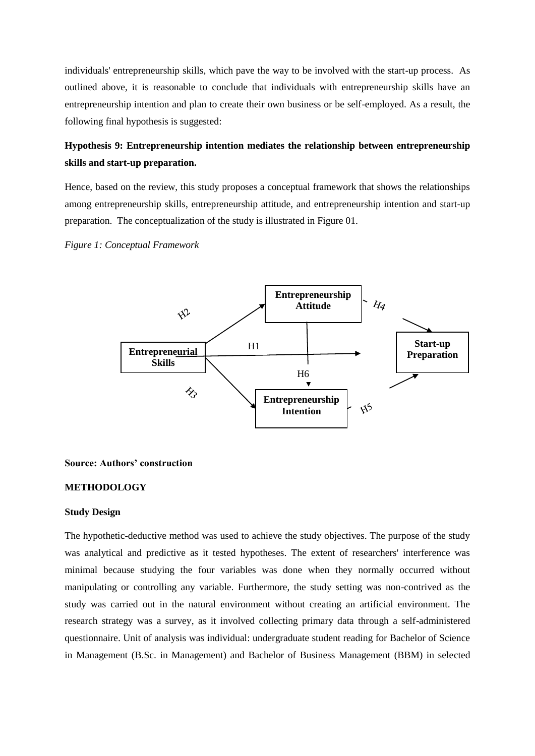individuals' entrepreneurship skills, which pave the way to be involved with the start-up process. As outlined above, it is reasonable to conclude that individuals with entrepreneurship skills have an entrepreneurship intention and plan to create their own business or be self-employed. As a result, the following final hypothesis is suggested:

# **Hypothesis 9: Entrepreneurship intention mediates the relationship between entrepreneurship skills and start-up preparation.**

Hence, based on the review, this study proposes a conceptual framework that shows the relationships among entrepreneurship skills, entrepreneurship attitude, and entrepreneurship intention and start-up preparation. The conceptualization of the study is illustrated in Figure 01.

*Figure 1: Conceptual Framework* 



### **Source: Authors' construction**

# **METHODOLOGY**

#### **Study Design**

The hypothetic-deductive method was used to achieve the study objectives. The purpose of the study was analytical and predictive as it tested hypotheses. The extent of researchers' interference was minimal because studying the four variables was done when they normally occurred without manipulating or controlling any variable. Furthermore, the study setting was non-contrived as the study was carried out in the natural environment without creating an artificial environment. The research strategy was a survey, as it involved collecting primary data through a self-administered questionnaire. Unit of analysis was individual: undergraduate student reading for Bachelor of Science in Management (B.Sc. in Management) and Bachelor of Business Management (BBM) in selected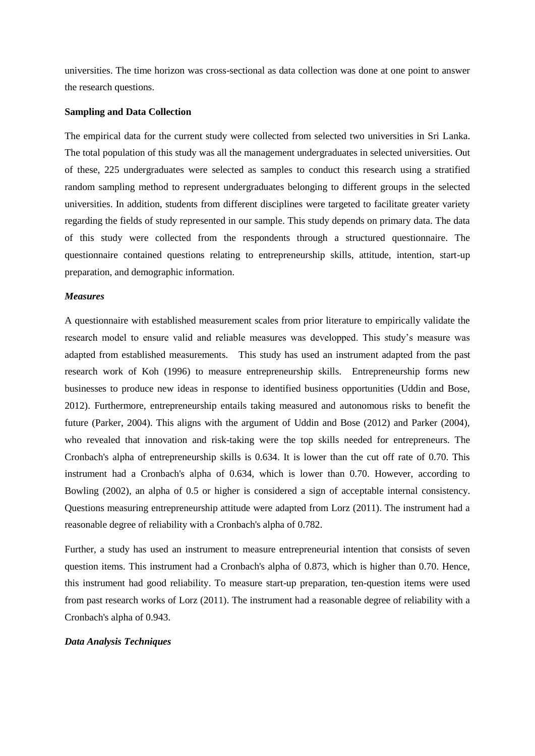universities. The time horizon was cross-sectional as data collection was done at one point to answer the research questions.

### **Sampling and Data Collection**

The empirical data for the current study were collected from selected two universities in Sri Lanka. The total population of this study was all the management undergraduates in selected universities. Out of these, 225 undergraduates were selected as samples to conduct this research using a stratified random sampling method to represent undergraduates belonging to different groups in the selected universities. In addition, students from different disciplines were targeted to facilitate greater variety regarding the fields of study represented in our sample. This study depends on primary data. The data of this study were collected from the respondents through a structured questionnaire. The questionnaire contained questions relating to entrepreneurship skills, attitude, intention, start-up preparation, and demographic information.

### *Measures*

A questionnaire with established measurement scales from prior literature to empirically validate the research model to ensure valid and reliable measures was developped. This study's measure was adapted from established measurements. This study has used an instrument adapted from the past research work of Koh (1996) to measure entrepreneurship skills. Entrepreneurship forms new businesses to produce new ideas in response to identified business opportunities (Uddin and Bose, 2012). Furthermore, entrepreneurship entails taking measured and autonomous risks to benefit the future (Parker, 2004). This aligns with the argument of Uddin and Bose (2012) and Parker (2004), who revealed that innovation and risk-taking were the top skills needed for entrepreneurs. The Cronbach's alpha of entrepreneurship skills is 0.634. It is lower than the cut off rate of 0.70. This instrument had a Cronbach's alpha of 0.634, which is lower than 0.70. However, according to Bowling (2002), an alpha of 0.5 or higher is considered a sign of acceptable internal consistency. Questions measuring entrepreneurship attitude were adapted from Lorz (2011). The instrument had a reasonable degree of reliability with a Cronbach's alpha of 0.782.

Further, a study has used an instrument to measure entrepreneurial intention that consists of seven question items. This instrument had a Cronbach's alpha of 0.873, which is higher than 0.70. Hence, this instrument had good reliability. To measure start-up preparation, ten-question items were used from past research works of Lorz (2011). The instrument had a reasonable degree of reliability with a Cronbach's alpha of 0.943.

#### *Data Analysis Techniques*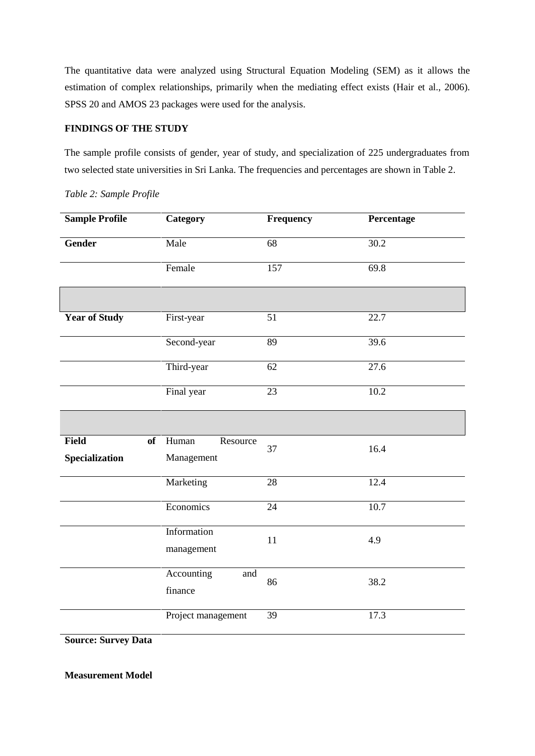The quantitative data were analyzed using Structural Equation Modeling (SEM) as it allows the estimation of complex relationships, primarily when the mediating effect exists (Hair et al., 2006). SPSS 20 and AMOS 23 packages were used for the analysis.

# **FINDINGS OF THE STUDY**

The sample profile consists of gender, year of study, and specialization of 225 undergraduates from two selected state universities in Sri Lanka. The frequencies and percentages are shown in Table 2.

| <b>Sample Profile</b>                | <b>Category</b>                 |                 | Percentage        |  |  |
|--------------------------------------|---------------------------------|-----------------|-------------------|--|--|
| <b>Gender</b>                        | Male                            | 68              | 30.2              |  |  |
|                                      | Female                          | 157             | 69.8              |  |  |
|                                      |                                 |                 |                   |  |  |
| <b>Year of Study</b>                 | First-year                      | 51              | 22.7              |  |  |
|                                      | Second-year                     | 89              | 39.6              |  |  |
|                                      | Third-year                      | 62              | 27.6              |  |  |
|                                      | Final year                      | 23              | 10.2              |  |  |
|                                      |                                 |                 |                   |  |  |
| <b>Field</b><br>of<br>Specialization | Human<br>Resource<br>Management | 37              | 16.4              |  |  |
|                                      | Marketing                       | 28              | 12.4              |  |  |
|                                      | Economics                       | $\overline{24}$ | $\overline{10.7}$ |  |  |
|                                      | Information<br>management       | 11              | 4.9               |  |  |
|                                      | Accounting<br>and<br>finance    | 86              | 38.2              |  |  |
|                                      | Project management              | 39              | 17.3              |  |  |

*Table 2: Sample Profile* 

**Source: Survey Data** 

**Measurement Model**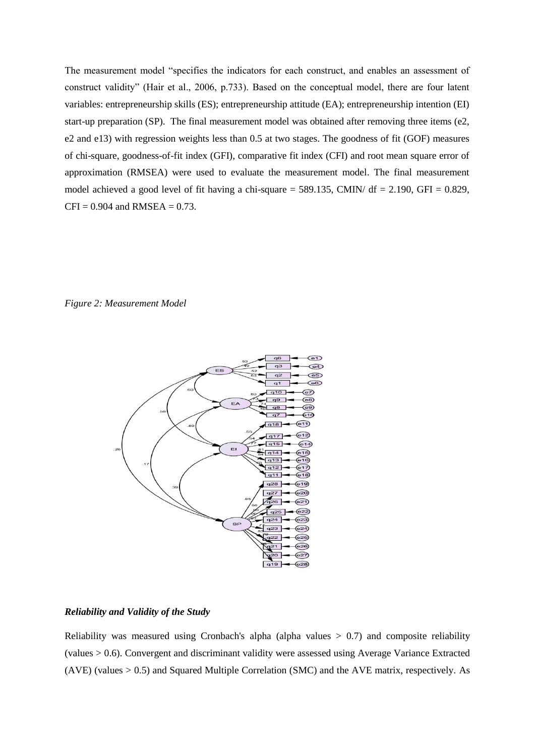The measurement model "specifies the indicators for each construct, and enables an assessment of construct validity" (Hair et al., 2006, p.733). Based on the conceptual model, there are four latent variables: entrepreneurship skills (ES); entrepreneurship attitude (EA); entrepreneurship intention (EI) start-up preparation (SP). The final measurement model was obtained after removing three items (e2, e2 and e13) with regression weights less than 0.5 at two stages. The goodness of fit (GOF) measures of chi-square, goodness-of-fit index (GFI), comparative fit index (CFI) and root mean square error of approximation (RMSEA) were used to evaluate the measurement model. The final measurement model achieved a good level of fit having a chi-square = 589.135, CMIN/  $df = 2.190$ , GFI = 0.829,  $CFI = 0.904$  and  $RMSEA = 0.73$ .

# *Figure 2: Measurement Model*



### *Reliability and Validity of the Study*

Reliability was measured using Cronbach's alpha (alpha values  $> 0.7$ ) and composite reliability (values > 0.6). Convergent and discriminant validity were assessed using Average Variance Extracted (AVE) (values > 0.5) and Squared Multiple Correlation (SMC) and the AVE matrix, respectively. As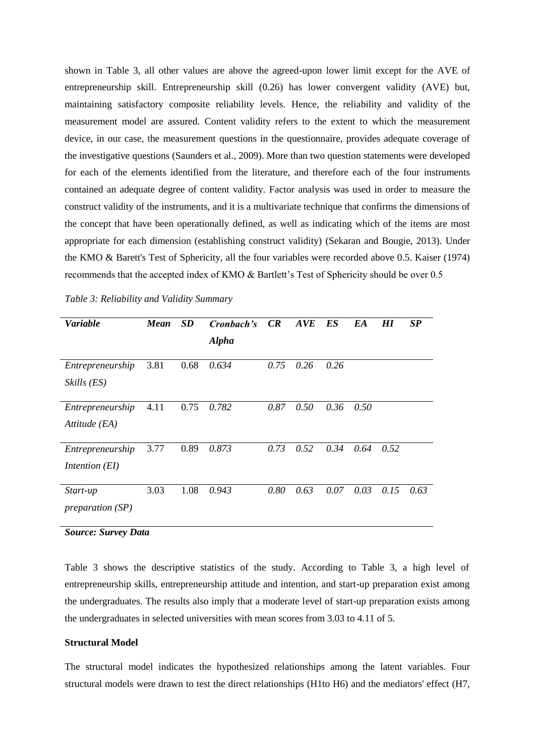shown in Table 3, all other values are above the agreed-upon lower limit except for the AVE of entrepreneurship skill. Entrepreneurship skill (0.26) has lower convergent validity (AVE) but, maintaining satisfactory composite reliability levels. Hence, the reliability and validity of the measurement model are assured. Content validity refers to the extent to which the measurement device, in our case, the measurement questions in the questionnaire, provides adequate coverage of the investigative questions (Saunders et al., 2009). More than two question statements were developed for each of the elements identified from the literature, and therefore each of the four instruments contained an adequate degree of content validity. Factor analysis was used in order to measure the construct validity of the instruments, and it is a multivariate technique that confirms the dimensions of the concept that have been operationally defined, as well as indicating which of the items are most appropriate for each dimension (establishing construct validity) (Sekaran and Bougie, 2013). Under the KMO & Barett's Test of Sphericity, all the four variables were recorded above 0.5. Kaiser (1974) recommends that the accepted index of KMO & Bartlett's Test of Sphericity should be over 0.5

| <b>Variable</b>    | <b>Mean</b> | SD   | Cronbach's   | CR   | AVE  | ES   | EA   | HІ   | SP   |
|--------------------|-------------|------|--------------|------|------|------|------|------|------|
|                    |             |      | <b>Alpha</b> |      |      |      |      |      |      |
| Entrepreneurship   | 3.81        | 0.68 | 0.634        | 0.75 | 0.26 | 0.26 |      |      |      |
| Skills (ES)        |             |      |              |      |      |      |      |      |      |
| Entrepreneurship   | 4.11        | 0.75 | 0.782        | 0.87 | 0.50 | 0.36 | 0.50 |      |      |
|                    |             |      |              |      |      |      |      |      |      |
| Attitude (EA)      |             |      |              |      |      |      |      |      |      |
| Entrepreneurship   | 3.77        | 0.89 | 0.873        | 0.73 | 0.52 | 0.34 | 0.64 | 0.52 |      |
| Intention (EI)     |             |      |              |      |      |      |      |      |      |
| Start-up           | 3.03        | 1.08 | 0.943        | 0.80 | 0.63 | 0.07 | 0.03 | 0.15 | 0.63 |
| preparation $(SP)$ |             |      |              |      |      |      |      |      |      |

*Table 3: Reliability and Validity Summary* 

*Source: Survey Data*

Table 3 shows the descriptive statistics of the study. According to Table 3, a high level of entrepreneurship skills, entrepreneurship attitude and intention, and start-up preparation exist among the undergraduates. The results also imply that a moderate level of start-up preparation exists among the undergraduates in selected universities with mean scores from 3.03 to 4.11 of 5.

## **Structural Model**

The structural model indicates the hypothesized relationships among the latent variables. Four structural models were drawn to test the direct relationships (H1to H6) and the mediators' effect (H7,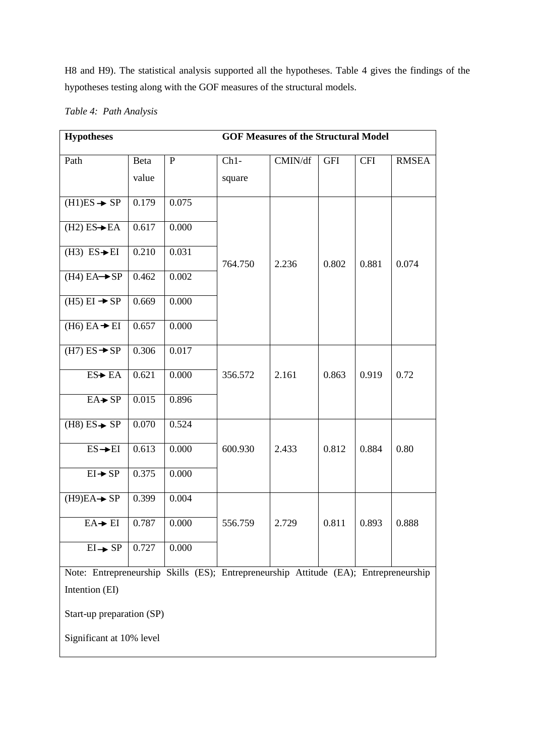H8 and H9). The statistical analysis supported all the hypotheses. Table 4 gives the findings of the hypotheses testing along with the GOF measures of the structural models.

| <b>Hypotheses</b>                                                                    | <b>GOF Measures of the Structural Model</b> |              |         |         |            |            |              |
|--------------------------------------------------------------------------------------|---------------------------------------------|--------------|---------|---------|------------|------------|--------------|
| Path                                                                                 | Beta                                        | $\mathbf{P}$ | $Ch1-$  | CMIN/df | <b>GFI</b> | <b>CFI</b> | <b>RMSEA</b> |
|                                                                                      | value                                       |              | square  |         |            |            |              |
| $(H1)ES \rightarrow SP$                                                              | 0.179                                       | 0.075        |         |         |            |            |              |
| $(H2) ES \rightarrow EA$                                                             | 0.617                                       | 0.000        |         |         |            |            |              |
| $(H3)$ ES $\rightarrow$ EI                                                           | 0.210                                       | 0.031        | 764.750 | 2.236   | 0.802      | 0.881      | 0.074        |
| $(H4) EA \rightarrow SP$                                                             | 0.462                                       | 0.002        |         |         |            |            |              |
| $(H5) EI \rightarrow SP$                                                             | 0.669                                       | 0.000        |         |         |            |            |              |
| $(H6) EA + EI$                                                                       | 0.657                                       | 0.000        |         |         |            |            |              |
| $(H7) ES \rightarrow SP$                                                             | 0.306                                       | 0.017        |         |         |            |            |              |
| ES→ EA                                                                               | 0.621                                       | 0.000        | 356.572 | 2.161   | 0.863      | 0.919      | 0.72         |
| $EA \rightarrow SP$                                                                  | 0.015                                       | 0.896        |         |         |            |            |              |
| $(H8) ES \rightarrow SP$                                                             | 0.070                                       | 0.524        |         |         |            |            |              |
| $ES \rightarrow EI$                                                                  | 0.613                                       | 0.000        | 600.930 | 2.433   | 0.812      | 0.884      | 0.80         |
| $EI \rightarrow SP$                                                                  | 0.375                                       | 0.000        |         |         |            |            |              |
| $(H9)EA \rightarrow SP$                                                              | 0.399                                       | 0.004        |         |         |            |            |              |
| $EA + EI$                                                                            | 0.787                                       | 0.000        | 556.759 | 2.729   | 0.811      | 0.893      | 0.888        |
| $EI \rightarrow SP$                                                                  | 0.727                                       | 0.000        |         |         |            |            |              |
| Note: Entrepreneurship Skills (ES); Entrepreneurship Attitude (EA); Entrepreneurship |                                             |              |         |         |            |            |              |
| Intention (EI)                                                                       |                                             |              |         |         |            |            |              |
| Start-up preparation (SP)                                                            |                                             |              |         |         |            |            |              |
| Significant at 10% level                                                             |                                             |              |         |         |            |            |              |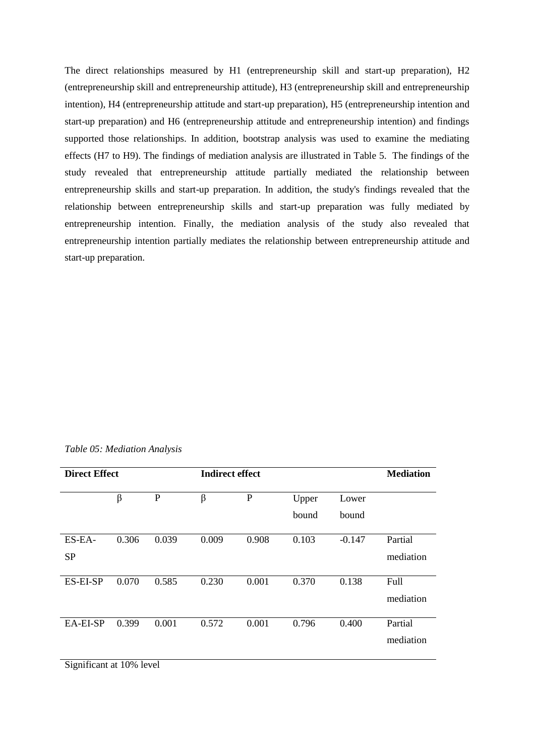The direct relationships measured by H1 (entrepreneurship skill and start-up preparation), H2 (entrepreneurship skill and entrepreneurship attitude), H3 (entrepreneurship skill and entrepreneurship intention), H4 (entrepreneurship attitude and start-up preparation), H5 (entrepreneurship intention and start-up preparation) and H6 (entrepreneurship attitude and entrepreneurship intention) and findings supported those relationships. In addition, bootstrap analysis was used to examine the mediating effects (H7 to H9). The findings of mediation analysis are illustrated in Table 5. The findings of the study revealed that entrepreneurship attitude partially mediated the relationship between entrepreneurship skills and start-up preparation. In addition, the study's findings revealed that the relationship between entrepreneurship skills and start-up preparation was fully mediated by entrepreneurship intention. Finally, the mediation analysis of the study also revealed that entrepreneurship intention partially mediates the relationship between entrepreneurship attitude and start-up preparation.

|  | Table 05: Mediation Analysis |  |
|--|------------------------------|--|
|--|------------------------------|--|

| <b>Direct Effect</b> |       |              | <b>Indirect effect</b> |             |                |                | <b>Mediation</b>     |
|----------------------|-------|--------------|------------------------|-------------|----------------|----------------|----------------------|
|                      | β     | $\mathbf{P}$ | β                      | $\mathbf P$ | Upper<br>bound | Lower<br>bound |                      |
| ES-EA-<br><b>SP</b>  | 0.306 | 0.039        | 0.009                  | 0.908       | 0.103          | $-0.147$       | Partial<br>mediation |
| ES-EI-SP             | 0.070 | 0.585        | 0.230                  | 0.001       | 0.370          | 0.138          | Full<br>mediation    |
| EA-EI-SP             | 0.399 | 0.001        | 0.572                  | 0.001       | 0.796          | 0.400          | Partial<br>mediation |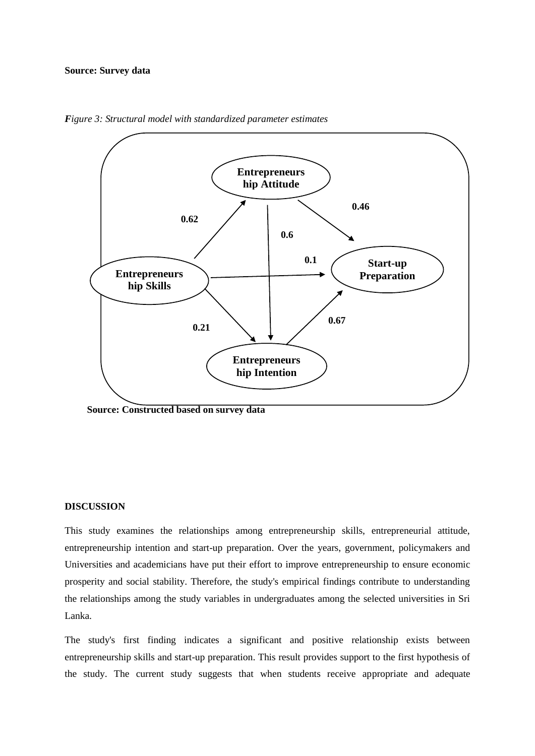#### **Source: Survey data**



*Figure 3: Structural model with standardized parameter estimates*

 **Source: Constructed based on survey data** 

### **DISCUSSION**

This study examines the relationships among entrepreneurship skills, entrepreneurial attitude, entrepreneurship intention and start-up preparation. Over the years, government, policymakers and Universities and academicians have put their effort to improve entrepreneurship to ensure economic prosperity and social stability. Therefore, the study's empirical findings contribute to understanding the relationships among the study variables in undergraduates among the selected universities in Sri Lanka.

The study's first finding indicates a significant and positive relationship exists between entrepreneurship skills and start-up preparation. This result provides support to the first hypothesis of the study. The current study suggests that when students receive appropriate and adequate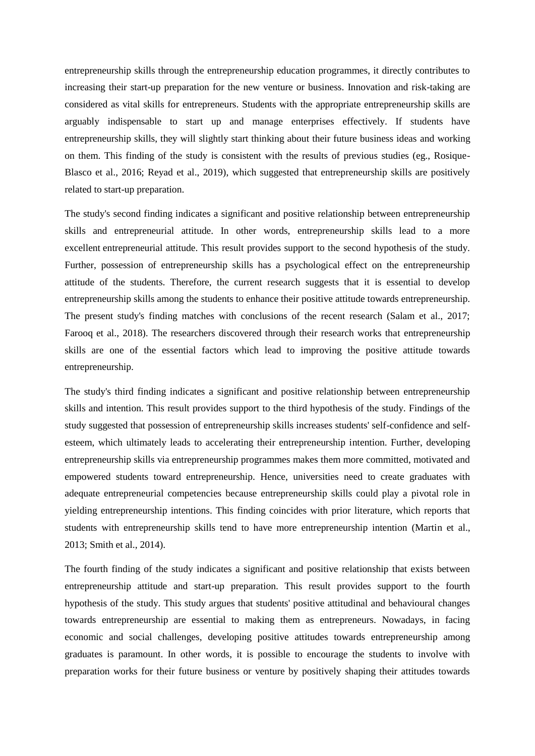entrepreneurship skills through the entrepreneurship education programmes, it directly contributes to increasing their start-up preparation for the new venture or business. Innovation and risk-taking are considered as vital skills for entrepreneurs. Students with the appropriate entrepreneurship skills are arguably indispensable to start up and manage enterprises effectively. If students have entrepreneurship skills, they will slightly start thinking about their future business ideas and working on them. This finding of the study is consistent with the results of previous studies (eg., Rosique-Blasco et al., 2016; Reyad et al., 2019), which suggested that entrepreneurship skills are positively related to start-up preparation.

The study's second finding indicates a significant and positive relationship between entrepreneurship skills and entrepreneurial attitude. In other words, entrepreneurship skills lead to a more excellent entrepreneurial attitude. This result provides support to the second hypothesis of the study. Further, possession of entrepreneurship skills has a psychological effect on the entrepreneurship attitude of the students. Therefore, the current research suggests that it is essential to develop entrepreneurship skills among the students to enhance their positive attitude towards entrepreneurship. The present study's finding matches with conclusions of the recent research (Salam et al., 2017; Farooq et al., 2018). The researchers discovered through their research works that entrepreneurship skills are one of the essential factors which lead to improving the positive attitude towards entrepreneurship.

The study's third finding indicates a significant and positive relationship between entrepreneurship skills and intention. This result provides support to the third hypothesis of the study. Findings of the study suggested that possession of entrepreneurship skills increases students' self-confidence and selfesteem, which ultimately leads to accelerating their entrepreneurship intention. Further, developing entrepreneurship skills via entrepreneurship programmes makes them more committed, motivated and empowered students toward entrepreneurship. Hence, universities need to create graduates with adequate entrepreneurial competencies because entrepreneurship skills could play a pivotal role in yielding entrepreneurship intentions. This finding coincides with prior literature, which reports that students with entrepreneurship skills tend to have more entrepreneurship intention (Martin et al., 2013; Smith et al., 2014).

The fourth finding of the study indicates a significant and positive relationship that exists between entrepreneurship attitude and start-up preparation. This result provides support to the fourth hypothesis of the study. This study argues that students' positive attitudinal and behavioural changes towards entrepreneurship are essential to making them as entrepreneurs. Nowadays, in facing economic and social challenges, developing positive attitudes towards entrepreneurship among graduates is paramount. In other words, it is possible to encourage the students to involve with preparation works for their future business or venture by positively shaping their attitudes towards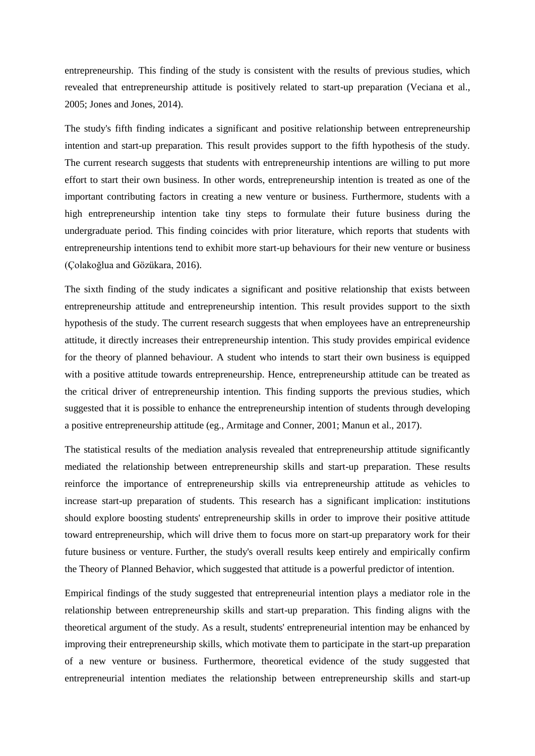entrepreneurship. This finding of the study is consistent with the results of previous studies, which revealed that entrepreneurship attitude is positively related to start-up preparation (Veciana et al., 2005; Jones and Jones, 2014).

The study's fifth finding indicates a significant and positive relationship between entrepreneurship intention and start-up preparation. This result provides support to the fifth hypothesis of the study. The current research suggests that students with entrepreneurship intentions are willing to put more effort to start their own business. In other words, entrepreneurship intention is treated as one of the important contributing factors in creating a new venture or business. Furthermore, students with a high entrepreneurship intention take tiny steps to formulate their future business during the undergraduate period. This finding coincides with prior literature, which reports that students with entrepreneurship intentions tend to exhibit more start-up behaviours for their new venture or business (Çolakoğlua and Gözükara, 2016).

The sixth finding of the study indicates a significant and positive relationship that exists between entrepreneurship attitude and entrepreneurship intention. This result provides support to the sixth hypothesis of the study. The current research suggests that when employees have an entrepreneurship attitude, it directly increases their entrepreneurship intention. This study provides empirical evidence for the theory of planned behaviour. A student who intends to start their own business is equipped with a positive attitude towards entrepreneurship. Hence, entrepreneurship attitude can be treated as the critical driver of entrepreneurship intention. This finding supports the previous studies, which suggested that it is possible to enhance the entrepreneurship intention of students through developing a positive entrepreneurship attitude (eg., Armitage and Conner, 2001; Manun et al., 2017).

The statistical results of the mediation analysis revealed that entrepreneurship attitude significantly mediated the relationship between entrepreneurship skills and start-up preparation. These results reinforce the importance of entrepreneurship skills via entrepreneurship attitude as vehicles to increase start-up preparation of students. This research has a significant implication: institutions should explore boosting students' entrepreneurship skills in order to improve their positive attitude toward entrepreneurship, which will drive them to focus more on start-up preparatory work for their future business or venture. Further, the study's overall results keep entirely and empirically confirm the Theory of Planned Behavior, which suggested that attitude is a powerful predictor of intention.

Empirical findings of the study suggested that entrepreneurial intention plays a mediator role in the relationship between entrepreneurship skills and start-up preparation. This finding aligns with the theoretical argument of the study. As a result, students' entrepreneurial intention may be enhanced by improving their entrepreneurship skills, which motivate them to participate in the start-up preparation of a new venture or business. Furthermore, theoretical evidence of the study suggested that entrepreneurial intention mediates the relationship between entrepreneurship skills and start-up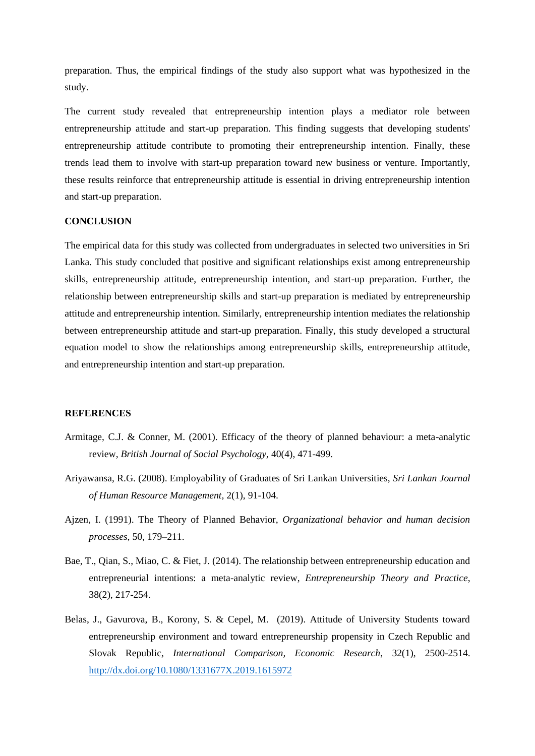preparation. Thus, the empirical findings of the study also support what was hypothesized in the study.

The current study revealed that entrepreneurship intention plays a mediator role between entrepreneurship attitude and start-up preparation. This finding suggests that developing students' entrepreneurship attitude contribute to promoting their entrepreneurship intention. Finally, these trends lead them to involve with start-up preparation toward new business or venture. Importantly, these results reinforce that entrepreneurship attitude is essential in driving entrepreneurship intention and start-up preparation.

# **CONCLUSION**

The empirical data for this study was collected from undergraduates in selected two universities in Sri Lanka. This study concluded that positive and significant relationships exist among entrepreneurship skills, entrepreneurship attitude, entrepreneurship intention, and start-up preparation. Further, the relationship between entrepreneurship skills and start-up preparation is mediated by entrepreneurship attitude and entrepreneurship intention. Similarly, entrepreneurship intention mediates the relationship between entrepreneurship attitude and start-up preparation. Finally, this study developed a structural equation model to show the relationships among entrepreneurship skills, entrepreneurship attitude, and entrepreneurship intention and start-up preparation.

### **REFERENCES**

- Armitage, C.J. & Conner, M. (2001). Efficacy of the theory of planned behaviour: a meta-analytic review, *British Journal of Social Psychology,* 40(4), 471-499.
- Ariyawansa, R.G. (2008). Employability of Graduates of Sri Lankan Universities, *Sri Lankan Journal of Human Resource Management,* 2(1), 91-104.
- Ajzen, I. (1991). The Theory of Planned Behavior, *Organizational behavior and human decision processes*, 50, 179–211.
- Bae, T., Qian, S., Miao, C. & Fiet, J. (2014). The relationship between entrepreneurship education and entrepreneurial intentions: a meta-analytic review, *Entrepreneurship Theory and Practice*, 38(2), 217-254.
- Belas, J., Gavurova, B., Korony, S. & Cepel, M. (2019). Attitude of University Students toward entrepreneurship environment and toward entrepreneurship propensity in Czech Republic and Slovak Republic, *International Comparison, Economic Research*, 32(1), 2500-2514. <http://dx.doi.org/10.1080/1331677X.2019.1615972>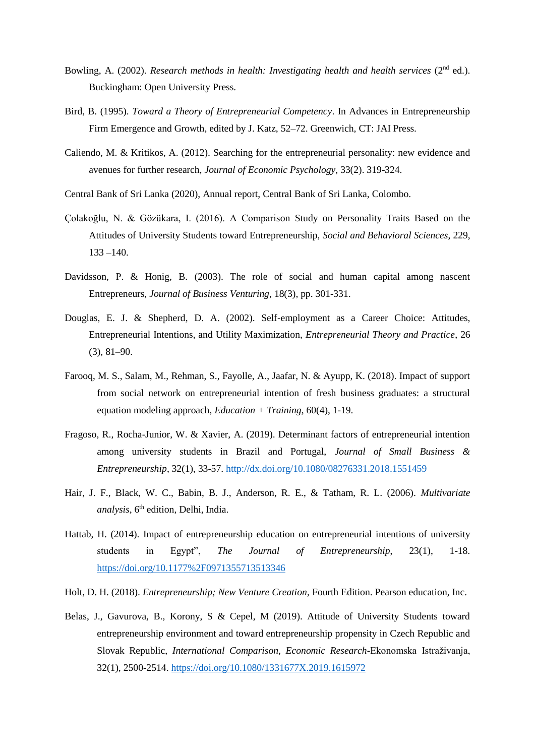- Bowling, A. (2002). *Research methods in health: Investigating health and health services* (2<sup>nd</sup> ed.). Buckingham: Open University Press.
- Bird, B. (1995). *Toward a Theory of Entrepreneurial Competency*. In Advances in Entrepreneurship Firm Emergence and Growth, edited by J. Katz, 52–72. Greenwich, CT: JAI Press.
- Caliendo, M. & Kritikos, A. (2012). Searching for the entrepreneurial personality: new evidence and avenues for further research, *Journal of Economic Psychology*, 33(2). 319-324.
- Central Bank of Sri Lanka (2020), Annual report, Central Bank of Sri Lanka, Colombo.
- Çolakoğlu, N. & Gözükara, I. (2016). A Comparison Study on Personality Traits Based on the Attitudes of University Students toward Entrepreneurship, *Social and Behavioral Sciences*, 229,  $133 - 140$ .
- Davidsson, P. & Honig, B. (2003). The role of social and human capital among nascent Entrepreneurs, *Journal of Business Venturing*, 18(3), pp. 301-331.
- Douglas, E. J. & Shepherd, D. A. (2002). Self-employment as a Career Choice: Attitudes, Entrepreneurial Intentions, and Utility Maximization, *Entrepreneurial Theory and Practice*, 26 (3), 81–90.
- Farooq, M. S., Salam, M., Rehman, S., Fayolle, A., Jaafar, N. & Ayupp, K. (2018). Impact of support from social network on entrepreneurial intention of fresh business graduates: a structural equation modeling approach, *Education + Training*, 60(4), 1-19.
- Fragoso, R., Rocha-Junior, W. & Xavier, A. (2019). Determinant factors of entrepreneurial intention among university students in Brazil and Portugal, *Journal of Small Business & Entrepreneurship*, 32(1), 33-57.<http://dx.doi.org/10.1080/08276331.2018.1551459>
- Hair, J. F., Black, W. C., Babin, B. J., Anderson, R. E., & Tatham, R. L. (2006). *Multivariate analysis*, 6<sup>th</sup> edition, Delhi, India.
- Hattab, H. (2014). Impact of entrepreneurship education on entrepreneurial intentions of university students in Egypt", *The Journal of Entrepreneurship*, 23(1), 1-18. <https://doi.org/10.1177%2F0971355713513346>
- Holt, D. H. (2018). *Entrepreneurship; New Venture Creation*, Fourth Edition. Pearson education, Inc.
- Belas, J., Gavurova, B., Korony, S & Cepel, M (2019). Attitude of University Students toward entrepreneurship environment and toward entrepreneurship propensity in Czech Republic and Slovak Republic, *International Comparison, Economic Research*-Ekonomska Istraživanja, 32(1), 2500-2514.<https://doi.org/10.1080/1331677X.2019.1615972>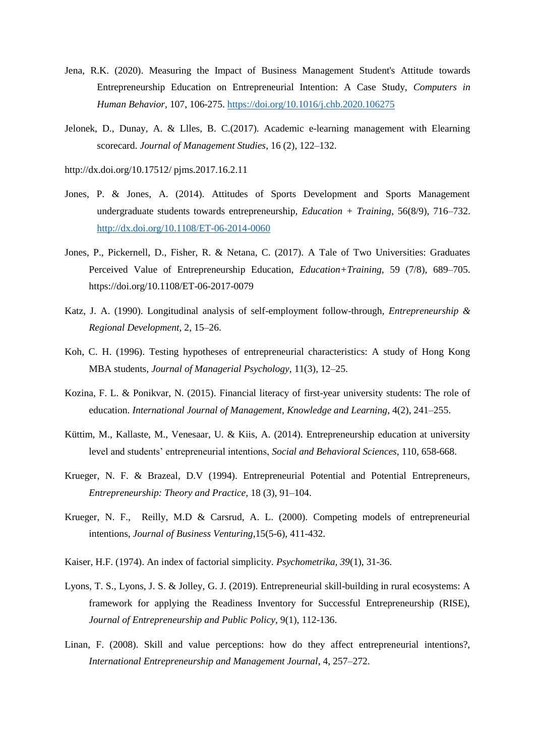- Jena, R.K. (2020). Measuring the Impact of Business Management Student's Attitude towards Entrepreneurship Education on Entrepreneurial Intention: A Case Study, *Computers in Human Behavior,* 107, 106-275.<https://doi.org/10.1016/j.chb.2020.106275>
- Jelonek, D., Dunay, A. & Llles, B. C.(2017). Academic e-learning management with Elearning scorecard. *Journal of Management Studies*, 16 (2), 122–132.
- http://dx.doi.org/10.17512/ pjms.2017.16.2.11
- Jones, P. & Jones, A. (2014). Attitudes of Sports Development and Sports Management undergraduate students towards entrepreneurship, *Education + Training*, 56(8/9), 716–732. <http://dx.doi.org/10.1108/ET-06-2014-0060>
- Jones, P., Pickernell, D., Fisher, R. & Netana, C. (2017). A Tale of Two Universities: Graduates Perceived Value of Entrepreneurship Education, *Education+Training,* 59 (7/8), 689–705. https://doi.org/10.1108/ET-06-2017-0079
- Katz, J. A. (1990). Longitudinal analysis of self-employment follow-through, *Entrepreneurship & Regional Development*, 2, 15–26.
- Koh, C. H. (1996). Testing hypotheses of entrepreneurial characteristics: A study of Hong Kong MBA students, *Journal of Managerial Psychology*, 11(3), 12–25.
- Kozina, F. L. & Ponikvar, N. (2015). Financial literacy of first-year university students: The role of education. *International Journal of Management*, *Knowledge and Learning*, 4(2), 241–255.
- Küttim, M., Kallaste, M., Venesaar, U. & Kiis, A. (2014). Entrepreneurship education at university level and students' entrepreneurial intentions, *Social and Behavioral Sciences*, 110, 658-668.
- Krueger, N. F. & Brazeal, D.V (1994). Entrepreneurial Potential and Potential Entrepreneurs, *Entrepreneurship: Theory and Practice,* 18 (3), 91–104.
- Krueger, N. F., Reilly, M.D & Carsrud, A. L. (2000). Competing models of entrepreneurial intentions, *Journal of Business Venturing*,15(5-6), 411-432.
- Kaiser, H.F. (1974). An index of factorial simplicity. *Psychometrika, 39*(1), 31-36.
- Lyons, T. S., Lyons, J. S. & Jolley, G. J. (2019). Entrepreneurial skill-building in rural ecosystems: A framework for applying the Readiness Inventory for Successful Entrepreneurship (RISE), *Journal of Entrepreneurship and Public Policy*, 9(1), 112-136.
- Linan, F. (2008). Skill and value perceptions: how do they affect entrepreneurial intentions?, *International Entrepreneurship and Management Journal*, 4, 257–272.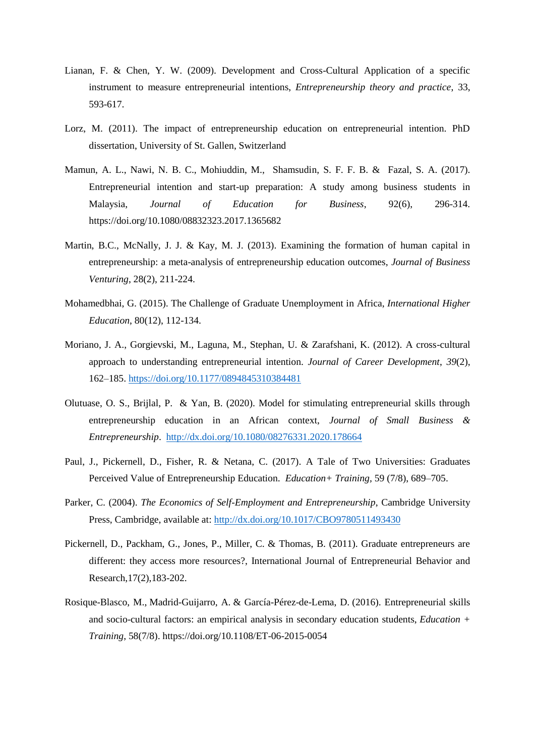- Lianan, F. & Chen, Y. W. (2009). Development and Cross-Cultural Application of a specific instrument to measure entrepreneurial intentions, *Entrepreneurship theory and practice*, 33, 593-617.
- Lorz, M. (2011). The impact of entrepreneurship education on entrepreneurial intention. PhD dissertation, University of St. Gallen, Switzerland
- Mamun, A. L., Nawi, N. B. C., Mohiuddin, M., Shamsudin, S. F. F. B. & Fazal, S. A. (2017). Entrepreneurial intention and start-up preparation: A study among business students in Malaysia, *Journal of Education for Business*, 92(6), 296-314. https://doi.org/10.1080/08832323.2017.1365682
- Martin, B.C., McNally, J. J. & Kay, M. J. (2013). Examining the formation of human capital in entrepreneurship: a meta-analysis of entrepreneurship education outcomes, *Journal of Business Venturing*, 28(2), 211-224.
- Mohamedbhai, G. (2015). The Challenge of Graduate Unemployment in Africa, *International Higher Education*, 80(12), 112-134.
- Moriano, J. A., Gorgievski, M., Laguna, M., Stephan, U. & Zarafshani, K. (2012). A cross-cultural approach to understanding entrepreneurial intention. *Journal of Career Development*, *39*(2), 162–185.<https://doi.org/10.1177/0894845310384481>
- Olutuase, O. S., Brijlal, P. & Yan, B. (2020). Model for stimulating entrepreneurial skills through entrepreneurship education in an African context, *Journal of Small Business & Entrepreneurship*. <http://dx.doi.org/10.1080/08276331.2020.178664>
- Paul, J., Pickernell, D., Fisher, R. & Netana, C. (2017). A Tale of Two Universities: Graduates Perceived Value of Entrepreneurship Education. *Education+ Training,* 59 (7/8), 689–705.
- Parker, C. (2004). *The Economics of Self-Employment and Entrepreneurship*, Cambridge University Press, Cambridge, available at:<http://dx.doi.org/10.1017/CBO9780511493430>
- Pickernell, D., Packham, G., Jones, P., Miller, C. & Thomas, B. (2011). Graduate entrepreneurs are different: they access more resources?, International Journal of Entrepreneurial Behavior and Research,17(2),183-202.
- [Rosique-Blasco, M.,](https://www.emerald.com/insight/search?q=Mario%20Rosique-Blasco) [Madrid-Guijarro, A.](https://www.emerald.com/insight/search?q=Antonia%20Madrid-Guijarro) & [García-Pérez-de-Lema, D.](https://www.emerald.com/insight/search?q=Domingo%20Garc%C3%ADa-P%C3%A9rez-de-Lema) (2016). Entrepreneurial skills and socio-cultural factors: an empirical analysis in secondary education students, *[Education +](https://www.emerald.com/insight/publication/issn/0040-0912)  [Training](https://www.emerald.com/insight/publication/issn/0040-0912)*, 58(7/8). <https://doi.org/10.1108/ET-06-2015-0054>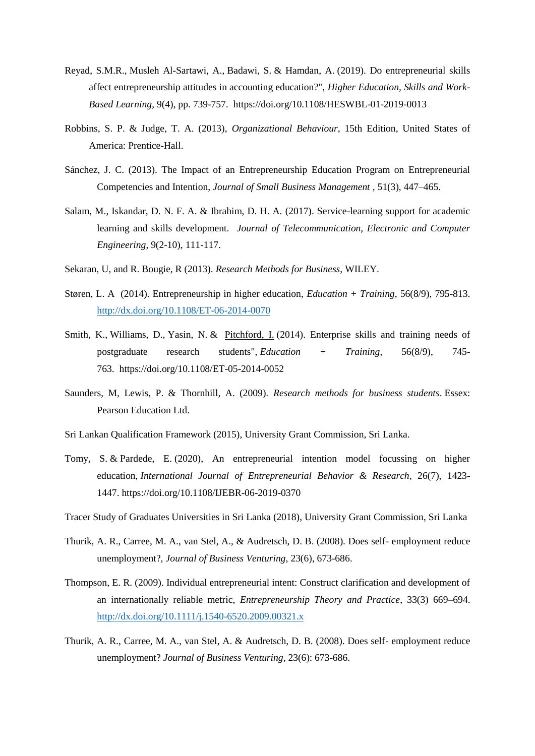- [Reyad, S.M.R.,](https://www.emerald.com/insight/search?q=Sameh%20M.%20Reda%20Reyad) [Musleh Al-Sartawi, A.,](https://www.emerald.com/insight/search?q=Abdalmuttaleb%20Musleh%20Al-Sartawi) [Badawi, S.](https://www.emerald.com/insight/search?q=Sherine%20Badawi) & [Hamdan, A.](https://www.emerald.com/insight/search?q=Allam%20Hamdan) (2019). Do entrepreneurial skills affect entrepreneurship attitudes in accounting education?", *[Higher Education, Skills and Work-](https://www.emerald.com/insight/publication/issn/2042-3896)[Based Learning](https://www.emerald.com/insight/publication/issn/2042-3896)*, 9(4), pp. 739-757. <https://doi.org/10.1108/HESWBL-01-2019-0013>
- Robbins, S. P. & Judge, T. A. (2013), *Organizational Behaviour*, 15th Edition, United States of America: Prentice-Hall.
- Sánchez, J. C. (2013). The Impact of an Entrepreneurship Education Program on Entrepreneurial Competencies and Intention, *Journal of Small Business Management* , 51(3), 447–465.
- Salam, M., Iskandar, D. N. F. A. & Ibrahim, D. H. A. (2017). Service-learning support for academic learning and skills development. *Journal of Telecommunication, Electronic and Computer Engineering*, 9(2-10), 111-117.
- Sekaran, U, and R. Bougie, R (2013). *Research Methods for Business*, WILEY.
- Støren, L. A (2014). Entrepreneurship in higher education, *Education + Training*, 56(8/9), 795-813. <http://dx.doi.org/10.1108/ET-06-2014-0070>
- [Smith, K.,](https://www.emerald.com/insight/search?q=Kelly%20Smith) [Williams, D.,](https://www.emerald.com/insight/search?q=Dina%20Williams) [Yasin,](https://www.emerald.com/insight/search?q=Naveed%20Yasin) N. & [Pitchford, I.](https://www.emerald.com/insight/search?q=Ian%20Pitchford) (2014). Enterprise skills and training needs of postgraduate research students", *[Education + Training](https://www.emerald.com/insight/publication/issn/0040-0912)*, 56(8/9), 745- 763. <https://doi.org/10.1108/ET-05-2014-0052>
- Saunders, M, Lewis, P. & Thornhill, A. (2009). *Research methods for business students*. Essex: Pearson Education Ltd.
- Sri Lankan Qualification Framework (2015), University Grant Commission, Sri Lanka.
- [Tomy, S.](https://www.emerald.com/insight/search?q=Sarath%20Tomy) & [Pardede, E.](https://www.emerald.com/insight/search?q=Eric%20Pardede) (2020), An entrepreneurial intention model focussing on higher education, *[International Journal of Entrepreneurial Behavior & Research](https://www.emerald.com/insight/publication/issn/1355-2554)*, 26(7), 1423- 1447. <https://doi.org/10.1108/IJEBR-06-2019-0370>
- Tracer Study of Graduates Universities in Sri Lanka (2018), University Grant Commission, Sri Lanka
- Thurik, A. R., Carree, M. A., van Stel, A., & Audretsch, D. B. (2008). Does self- employment reduce unemployment?, *Journal of Business Venturing*, 23(6), 673-686.
- Thompson, E. R. (2009). Individual entrepreneurial intent: Construct clarification and development of an internationally reliable metric, *Entrepreneurship Theory and Practice*, 33(3) 669–694. <http://dx.doi.org/10.1111/j.1540-6520.2009.00321.x>
- Thurik, A. R., Carree, M. A., van Stel, A. & Audretsch, D. B. (2008). Does self- employment reduce unemployment? *Journal of Business Venturing*, 23(6): 673-686.